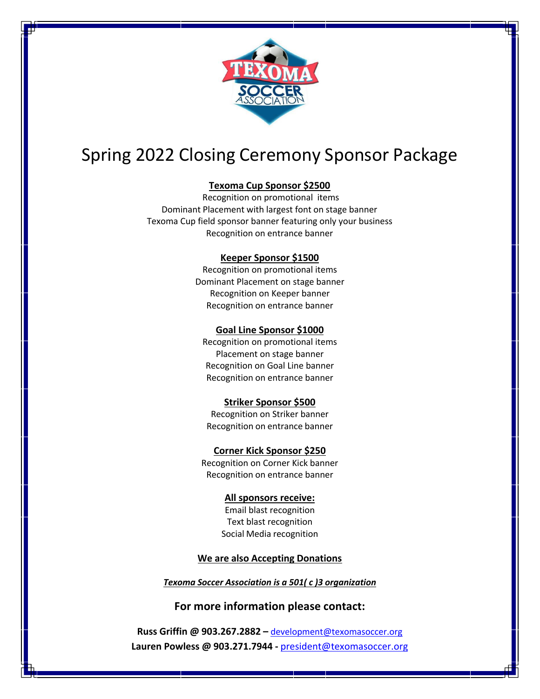

# Spring 2022 Closing Ceremony Sponsor Package

## **Texoma Cup Sponsor \$2500**

Recognition on promotional items Dominant Placement with largest font on stage banner Texoma Cup field sponsor banner featuring only your business Recognition on entrance banner

#### **Keeper Sponsor \$1500**

Recognition on promotional items Dominant Placement on stage banner Recognition on Keeper banner Recognition on entrance banner

### **Goal Line Sponsor \$1000**

Recognition on promotional items Placement on stage banner Recognition on Goal Line banner Recognition on entrance banner

#### **Striker Sponsor \$500**

Recognition on Striker banner Recognition on entrance banner

# **Corner Kick Sponsor \$250**

Recognition on Corner Kick banner Recognition on entrance banner

#### **All sponsors receive:**

Email blast recognition Text blast recognition Social Media recognition

### **We are also Accepting Donations**

### *Texoma Soccer Association is a 501( c )3 organization*

# **For more information please contact:**

**Russ Griffin @ 903.267.2882 –** development@texomasoccer.org **Lauren Powless @ 903.271.7944 -** president@texomasoccer.org